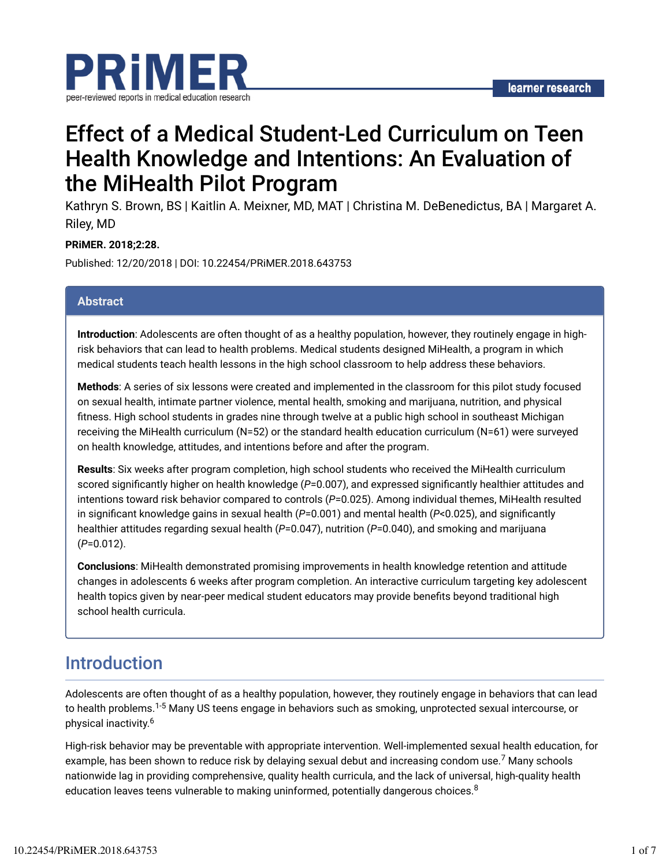

# Effect of a Medical Student-Led Curriculum on Teen Health Knowledge and Intentions: An Evaluation of the MiHealth Pilot Program

Kathryn S. Brown, BS | Kaitlin A. Meixner, MD, MAT | Christina M. DeBenedictus, BA | Margaret A. Riley, MD

### **PRiMER. 2018;2:28.**

Published: 12/20/2018 | DOI: 10.22454/PRiMER.2018.643753

### **Abstract**

**Introduction**: Adolescents are often thought of as a healthy population, however, they routinely engage in highrisk behaviors that can lead to health problems. Medical students designed MiHealth, a program in which medical students teach health lessons in the high school classroom to help address these behaviors.

**Methods**: A series of six lessons were created and implemented in the classroom for this pilot study focused on sexual health, intimate partner violence, mental health, smoking and marijuana, nutrition, and physical fitness. High school students in grades nine through twelve at a public high school in southeast Michigan receiving the MiHealth curriculum (N=52) or the standard health education curriculum (N=61) were surveyed on health knowledge, attitudes, and intentions before and after the program.

**Results**: Six weeks after program completion, high school students who received the MiHealth curriculum scored significantly higher on health knowledge ( $P=0.007$ ), and expressed significantly healthier attitudes and intentions toward risk behavior compared to controls (*P*=0.025). Among individual themes, MiHealth resulted in significant knowledge gains in sexual health  $(P=0.001)$  and mental health  $(P< 0.025)$ , and significantly healthier attitudes regarding sexual health (*P*=0.047), nutrition (*P*=0.040), and smoking and marijuana (*P*=0.012).

**Conclusions**: MiHealth demonstrated promising improvements in health knowledge retention and attitude changes in adolescents 6 weeks after program completion. An interactive curriculum targeting key adolescent health topics given by near-peer medical student educators may provide benefits beyond traditional high school health curricula.

## Introduction

Adolescents are often thought of as a healthy population, however, they routinely engage in behaviors that can lead to health problems.<sup>1-5</sup> Many US teens engage in behaviors such as smoking, unprotected sexual intercourse, or physical inactivity. 6

High-risk behavior may be preventable with appropriate intervention. Well-implemented sexual health education, for example, has been shown to reduce risk by delaying sexual debut and increasing condom use. $^7$  Many schools nationwide lag in providing comprehensive, quality health curricula, and the lack of universal, high-quality health education leaves teens vulnerable to making uninformed, potentially dangerous choices. $^8$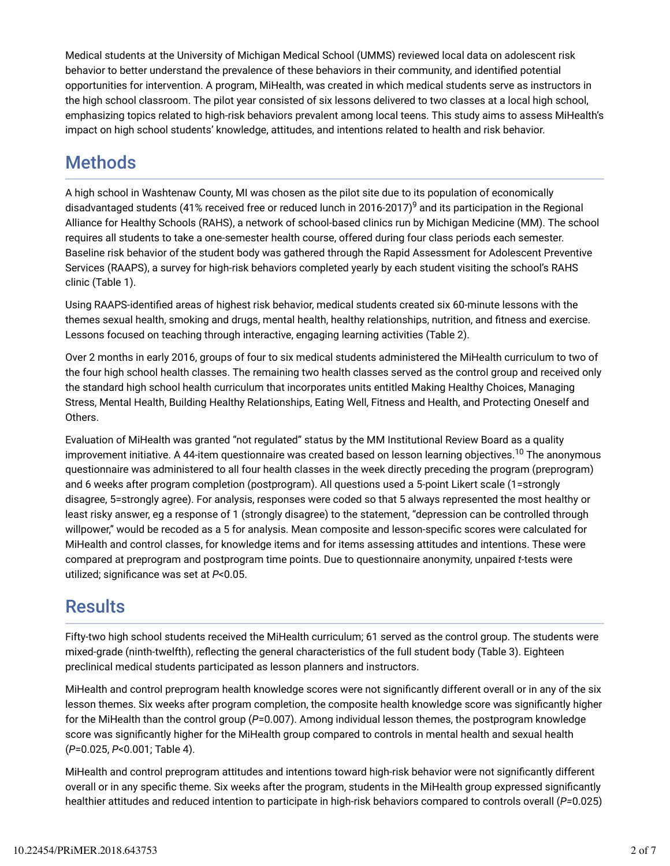Medical students at the University of Michigan Medical School (UMMS) reviewed local data on adolescent risk behavior to better understand the prevalence of these behaviors in their community, and identified potential opportunities for intervention. A program, MiHealth, was created in which medical students serve as instructors in the high school classroom. The pilot year consisted of six lessons delivered to two classes at a local high school, emphasizing topics related to high-risk behaviors prevalent among local teens. This study aims to assess MiHealth's impact on high school students' knowledge, attitudes, and intentions related to health and risk behavior.

# Methods

A high school in Washtenaw County, MI was chosen as the pilot site due to its population of economically disadvantaged students (41% received free or reduced lunch in 2016-2017) $^9$  and its participation in the Regional Alliance for Healthy Schools (RAHS), a network of school-based clinics run by Michigan Medicine (MM). The school requires all students to take a one-semester health course, offered during four class periods each semester. Baseline risk behavior of the student body was gathered through the Rapid Assessment for Adolescent Preventive Services (RAAPS), a survey for high-risk behaviors completed yearly by each student visiting the school's RAHS clinic (Table 1).

Using RAAPS-identified areas of highest risk behavior, medical students created six 60-minute lessons with the themes sexual health, smoking and drugs, mental health, healthy relationships, nutrition, and fitness and exercise. Lessons focused on teaching through interactive, engaging learning activities (Table 2).

Over 2 months in early 2016, groups of four to six medical students administered the MiHealth curriculum to two of the four high school health classes. The remaining two health classes served as the control group and received only the standard high school health curriculum that incorporates units entitled Making Healthy Choices, Managing Stress, Mental Health, Building Healthy Relationships, Eating Well, Fitness and Health, and Protecting Oneself and Others.

Evaluation of MiHealth was granted "not regulated" status by the MM Institutional Review Board as a quality improvement initiative. A 44-item questionnaire was created based on lesson learning objectives.<sup>10</sup> The anonymous questionnaire was administered to all four health classes in the week directly preceding the program (preprogram) and 6 weeks after program completion (postprogram). All questions used a 5-point Likert scale (1=strongly disagree, 5=strongly agree). For analysis, responses were coded so that 5 always represented the most healthy or least risky answer, eg a response of 1 (strongly disagree) to the statement, "depression can be controlled through willpower," would be recoded as a 5 for analysis. Mean composite and lesson-specific scores were calculated for MiHealth and control classes, for knowledge items and for items assessing attitudes and intentions. These were compared at preprogram and postprogram time points. Due to questionnaire anonymity, unpaired *t*-tests were utilized; significance was set at  $P<0.05$ .

## **Results**

Fifty-two high school students received the MiHealth curriculum; 61 served as the control group. The students were mixed-grade (ninth-twelfth), reflecting the general characteristics of the full student body (Table 3). Eighteen preclinical medical students participated as lesson planners and instructors.

MiHealth and control preprogram health knowledge scores were not significantly different overall or in any of the six lesson themes. Six weeks after program completion, the composite health knowledge score was significantly higher for the MiHealth than the control group (*P*=0.007). Among individual lesson themes, the postprogram knowledge score was significantly higher for the MiHealth group compared to controls in mental health and sexual health (*P*=0.025, *P*<0.001; Table 4).

MiHealth and control preprogram attitudes and intentions toward high-risk behavior were not significantly different overall or in any specific theme. Six weeks after the program, students in the MiHealth group expressed significantly healthier attitudes and reduced intention to participate in high-risk behaviors compared to controls overall (*P=*0.025)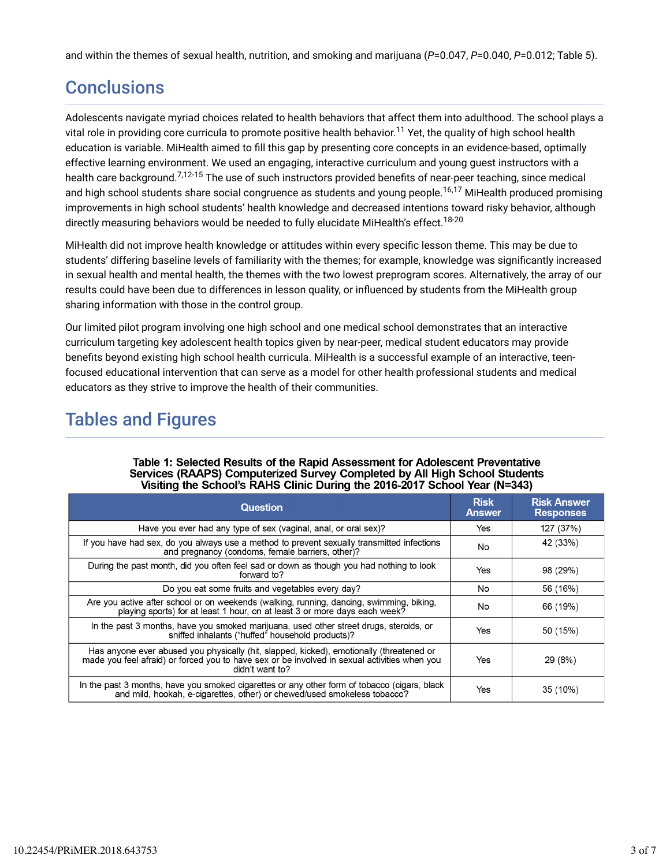and within the themes of sexual health, nutrition, and smoking and marijuana (*P*=0.047, *P*=0.040, *P*=0.012; Table 5).

# **Conclusions**

Adolescents navigate myriad choices related to health behaviors that affect them into adulthood. The school plays a vital role in providing core curricula to promote positive health behavior.<sup>11</sup> Yet, the quality of high school health education is variable. MiHealth aimed to fill this gap by presenting core concepts in an evidence-based, optimally effective learning environment. We used an engaging, interactive curriculum and young guest instructors with a health care background.<sup>7,12-15</sup> The use of such instructors provided benefits of near-peer teaching, since medical and high school students share social congruence as students and young people.<sup>16,17</sup> MiHealth produced promising improvements in high school students' health knowledge and decreased intentions toward risky behavior, although directly measuring behaviors would be needed to fully elucidate MiHealth's effect.<sup>18-20</sup>

MiHealth did not improve health knowledge or attitudes within every specific lesson theme. This may be due to students' differing baseline levels of familiarity with the themes; for example, knowledge was significantly increased in sexual health and mental health, the themes with the two lowest preprogram scores. Alternatively, the array of our results could have been due to differences in lesson quality, or influenced by students from the MiHealth group sharing information with those in the control group.

Our limited pilot program involving one high school and one medical school demonstrates that an interactive curriculum targeting key adolescent health topics given by near-peer, medical student educators may provide benefits beyond existing high school health curricula. MiHealth is a successful example of an interactive, teenfocused educational intervention that can serve as a model for other health professional students and medical educators as they strive to improve the health of their communities.

# Tables and Figures

| <b>Question</b>                                                                                                                                                                                             | <b>Risk</b><br><b>Answer</b> | <b>Risk Answer</b><br><b>Responses</b> |
|-------------------------------------------------------------------------------------------------------------------------------------------------------------------------------------------------------------|------------------------------|----------------------------------------|
| Have you ever had any type of sex (vaginal, anal, or oral sex)?                                                                                                                                             | Yes                          | 127 (37%)                              |
| If you have had sex, do you always use a method to prevent sexually transmitted infections<br>and pregnancy (condoms, female barriers, other)?                                                              | No                           | 42 (33%)                               |
| During the past month, did you often feel sad or down as though you had nothing to look<br>forward to?                                                                                                      | Yes                          | 98 (29%)                               |
| Do you eat some fruits and vegetables every day?                                                                                                                                                            | No                           | 56 (16%)                               |
| Are you active after school or on weekends (walking, running, dancing, swimming, biking,<br>playing sports) for at least 1 hour, on at least 3 or more days each week?                                      | No.                          | 66 (19%)                               |
| In the past 3 months, have you smoked marijuana, used other street drugs, steroids, or<br>sniffed inhalants ("huffed" household products)?                                                                  | Yes                          | 50 (15%)                               |
| Has anyone ever abused you physically (hit, slapped, kicked), emotionally (threatened or<br>made you feel afraid) or forced you to have sex or be involved in sexual activities when you<br>didn't want to? | Yes                          | 29(8%)                                 |
| In the past 3 months, have you smoked cigarettes or any other form of tobacco (cigars, black<br>and mild, hookah, e-cigarettes, other) or chewed/used smokeless tobacco?                                    | Yes                          | 35 (10%)                               |

#### Table 1: Selected Results of the Rapid Assessment for Adolescent Preventative Services (RAAPS) Computerized Survey Completed by All High School Students Visiting the School's RAHS Clinic During the 2016-2017 School Year (N=343)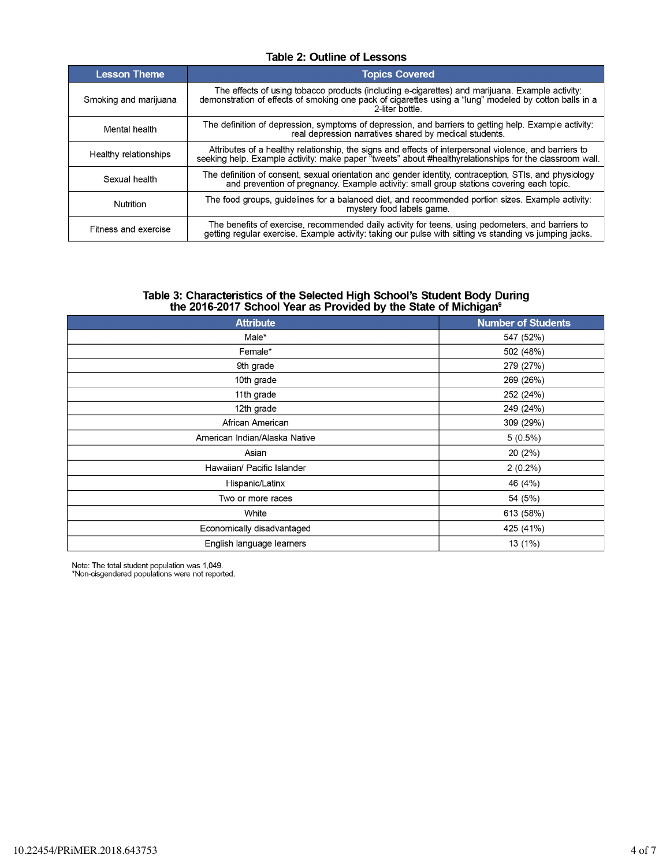### **Table 2: Outline of Lessons**

| <b>Lesson Theme</b>   | <b>Topics Covered</b>                                                                                                                                                                                                        |
|-----------------------|------------------------------------------------------------------------------------------------------------------------------------------------------------------------------------------------------------------------------|
| Smoking and marijuana | The effects of using tobacco products (including e-cigarettes) and marijuana. Example activity:<br>demonstration of effects of smoking one pack of cigarettes using a "lung" modeled by cotton balls in a<br>2-liter bottle. |
| Mental health         | The definition of depression, symptoms of depression, and barriers to getting help. Example activity:<br>real depression narratives shared by medical students.                                                              |
| Healthy relationships | Attributes of a healthy relationship, the signs and effects of interpersonal violence, and barriers to<br>seeking help. Example activity: make paper "tweets" about #healthyrelationships for the classroom wall.            |
| Sexual health         | The definition of consent, sexual orientation and gender identity, contraception, STIs, and physiology<br>and prevention of pregnancy. Example activity: small group stations covering each topic.                           |
| Nutrition             | The food groups, quidelines for a balanced diet, and recommended portion sizes. Example activity:<br>mystery food labels game.                                                                                               |
| Fitness and exercise  | The benefits of exercise, recommended daily activity for teens, using pedometers, and barriers to getting regular exercise. Example activity: taking our pulse with sitting vs standing vs jumping jacks.                    |

# Table 3: Characteristics of the Selected High School's Student Body During<br>the 2016-2017 School Year as Provided by the State of Michigan<sup>9</sup>

| <b>Attribute</b>              | <b>Number of Students</b> |
|-------------------------------|---------------------------|
| Male*                         | 547 (52%)                 |
| Female*                       | 502 (48%)                 |
| 9th grade                     | 279 (27%)                 |
| 10th grade                    | 269 (26%)                 |
| 11th grade                    | 252 (24%)                 |
| 12th grade                    | 249 (24%)                 |
| African American              | 309 (29%)                 |
| American Indian/Alaska Native | $5(0.5\%)$                |
| Asian                         | 20 (2%)                   |
| Hawaiian/ Pacific Islander    | $2(0.2\%)$                |
| Hispanic/Latinx               | 46 (4%)                   |
| Two or more races             | 54 (5%)                   |
| White                         | 613 (58%)                 |
| Economically disadvantaged    | 425 (41%)                 |
| English language learners     | 13 (1%)                   |

Note: The total student population was 1,049.<br>\*Non-cisgendered populations were not reported.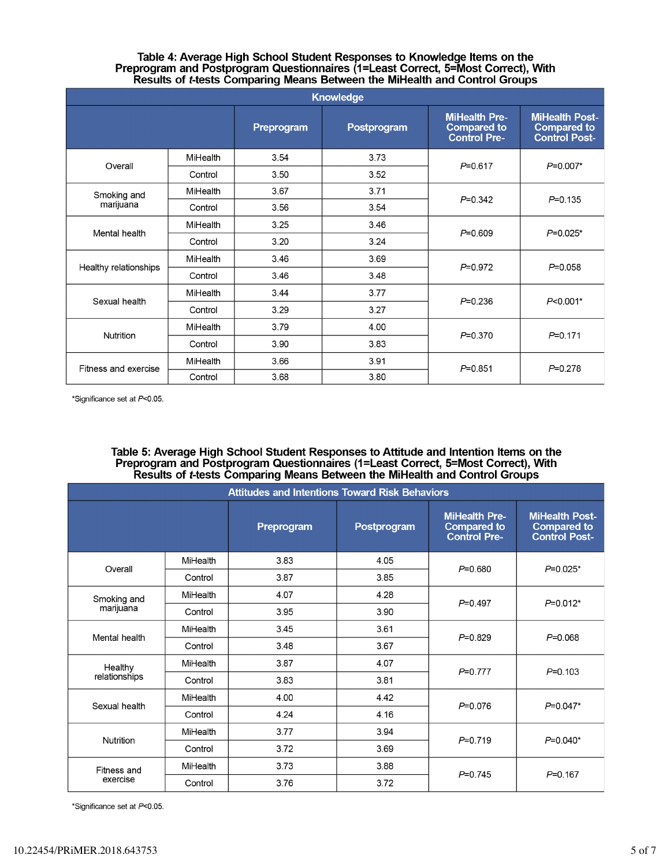#### Table 4: Average High School Student Responses to Knowledge Items on the Preprogram and Postprogram Questionnaires (1=Least Correct, 5=Most Correct), With Results of *t*-tests Comparing Means Between the MiHealth and Control Groups

| <b>Knowledge</b>      |                 |            |             |                                                                   |                                                                     |
|-----------------------|-----------------|------------|-------------|-------------------------------------------------------------------|---------------------------------------------------------------------|
|                       |                 | Preprogram | Postprogram | <b>MiHealth Pre-</b><br><b>Compared to</b><br><b>Control Pre-</b> | <b>MiHealth Post-</b><br><b>Compared to</b><br><b>Control Post-</b> |
| Overall               | <b>MiHealth</b> | 3.54       | 3.73        | $P = 0.617$                                                       | $P=0.007*$                                                          |
|                       | Control         | 3.50       | 3.52        |                                                                   |                                                                     |
| Smoking and           | MiHealth        | 3.67       | 3.71        |                                                                   | $P = 0.135$                                                         |
| marijuana             | Control         | 3.56       | 3.54        | $P = 0.342$                                                       |                                                                     |
| Mental health         | MiHealth        | 3.25       | 3.46        | $P = 0.609$                                                       | $P=0.025*$                                                          |
|                       | Control         | 3.20       | 3.24        |                                                                   |                                                                     |
| Healthy relationships | MiHealth        | 3.46       | 3.69        | $P = 0.972$                                                       | $P = 0.058$                                                         |
|                       | Control         | 3.46       | 3.48        |                                                                   |                                                                     |
| Sexual health         | MiHealth        | 3.44       | 3.77        | $P = 0.236$                                                       | $P<0.001*$                                                          |
|                       | Control         | 3.29       | 3.27        |                                                                   |                                                                     |
| Nutrition             | MiHealth        | 3.79       | 4.00        | $P = 0.370$                                                       | $P = 0.171$                                                         |
|                       | Control         | 3.90       | 3.83        |                                                                   |                                                                     |
| Fitness and exercise  | MiHealth        | 3.66       | 3.91        | $P = 0.851$                                                       | $P = 0.278$                                                         |
|                       | Control         | 3.68       | 3.80        |                                                                   |                                                                     |

\*Significance set at P<0.05.

### Table 5: Average High School Student Responses to Attitude and Intention Items on the Preprogram and Postprogram Questionnaires (1=Least Correct, 5=Most Correct), With Results of t-tests Comparing Means Between the MiHealth and Control Groups

| <b>Attitudes and Intentions Toward Risk Behaviors</b> |          |            |             |                                                                   |                                                                     |
|-------------------------------------------------------|----------|------------|-------------|-------------------------------------------------------------------|---------------------------------------------------------------------|
|                                                       |          | Preprogram | Postprogram | <b>MiHealth Pre-</b><br><b>Compared to</b><br><b>Control Pre-</b> | <b>MiHealth Post-</b><br><b>Compared to</b><br><b>Control Post-</b> |
| Overall                                               | MiHealth | 3.83       | 4.05        | $P = 0.680$                                                       | $P=0.025*$                                                          |
|                                                       | Control  | 3.87       | 3.85        |                                                                   |                                                                     |
| Smoking and<br>marijuana                              | MiHealth | 4.07       | 4.28        | $P = 0.497$                                                       | $P=0.012*$                                                          |
|                                                       | Control  | 3.95       | 3.90        |                                                                   |                                                                     |
| Mental health                                         | MiHealth | 3.45       | 3.61        | $P=0.829$                                                         | $P = 0.068$                                                         |
|                                                       | Control  | 3.48       | 3.67        |                                                                   |                                                                     |
| Healthy<br>relationships                              | MiHealth | 3.87       | 4.07        | $P=0.777$                                                         | $P = 0.103$                                                         |
|                                                       | Control  | 3.83       | 3.81        |                                                                   |                                                                     |
| Sexual health                                         | MiHealth | 4.00       | 4.42        | $P=0.076$                                                         | $P=0.047*$                                                          |
|                                                       | Control  | 4.24       | 4.16        |                                                                   |                                                                     |
| Nutrition                                             | MiHealth | 3.77       | 3.94        | $P = 0.719$                                                       | $P=0.040*$                                                          |
|                                                       | Control  | 3.72       | 3.69        |                                                                   |                                                                     |
| Fitness and<br>exercise                               | MiHealth | 3.73       | 3.88        | $P = 0.745$                                                       | $P = 0.167$                                                         |
|                                                       | Control  | 3.76       | 3.72        |                                                                   |                                                                     |

\*Significance set at P<0.05.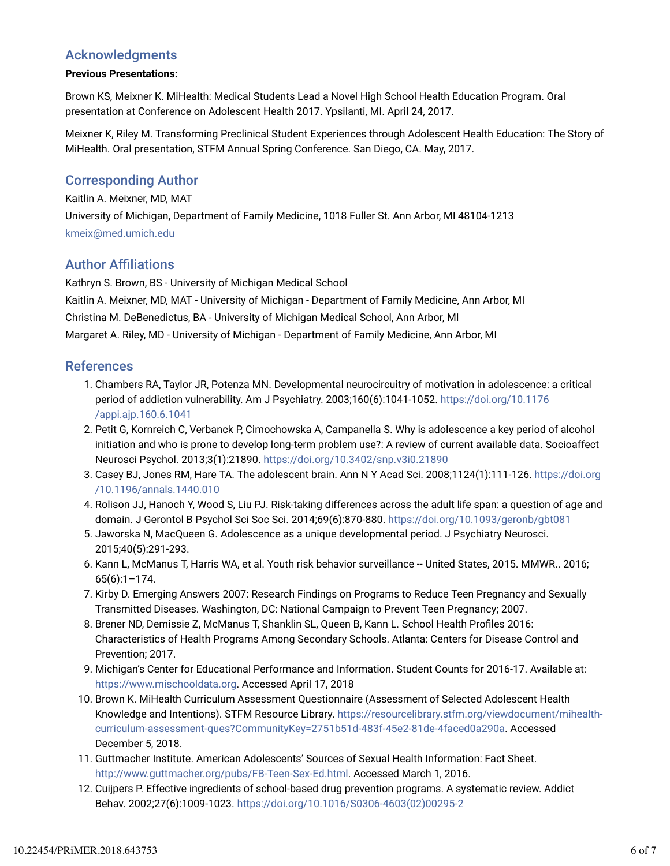## Acknowledgments

### **Previous Presentations:**

Brown KS, Meixner K. MiHealth: Medical Students Lead a Novel High School Health Education Program. Oral presentation at Conference on Adolescent Health 2017. Ypsilanti, MI. April 24, 2017.

Meixner K, Riley M. Transforming Preclinical Student Experiences through Adolescent Health Education: The Story of MiHealth. Oral presentation, STFM Annual Spring Conference. San Diego, CA. May, 2017.

## Corresponding Author

### Kaitlin A. Meixner, MD, MAT

University of Michigan, Department of Family Medicine, 1018 Fuller St. Ann Arbor, MI 48104-1213 kmeix@med.umich.edu

## **Author Affiliations**

Kathryn S. Brown, BS - University of Michigan Medical School Kaitlin A. Meixner, MD, MAT - University of Michigan - Department of Family Medicine, Ann Arbor, MI Christina M. DeBenedictus, BA - University of Michigan Medical School, Ann Arbor, MI Margaret A. Riley, MD - University of Michigan - Department of Family Medicine, Ann Arbor, MI

### References

- 1. Chambers RA, Taylor JR, Potenza MN. Developmental neurocircuitry of motivation in adolescence: a critical period of addiction vulnerability. Am J Psychiatry. 2003;160(6):1041-1052. https://doi.org/10.1176 /appi.ajp.160.6.1041
- Petit G, Kornreich C, Verbanck P, Cimochowska A, Campanella S. Why is adolescence a key period of alcohol 2. initiation and who is prone to develop long-term problem use?: A review of current available data. Socioaffect Neurosci Psychol. 2013;3(1):21890. https://doi.org/10.3402/snp.v3i0.21890
- 3. Casey BJ, Jones RM, Hare TA. The adolescent brain. Ann N Y Acad Sci. 2008;1124(1):111-126. https://doi.org /10.1196/annals.1440.010
- 4. Rolison JJ, Hanoch Y, Wood S, Liu PJ. Risk-taking differences across the adult life span: a question of age and domain. J Gerontol B Psychol Sci Soc Sci. 2014;69(6):870-880. https://doi.org/10.1093/geronb/gbt081
- Jaworska N, MacQueen G. Adolescence as a unique developmental period. J Psychiatry Neurosci. 5. 2015;40(5):291-293.
- 6. Kann L, McManus T, Harris WA, et al. Youth risk behavior surveillance -- United States, 2015. MMWR.. 2016; 65(6):1–174.
- 7. Kirby D. Emerging Answers 2007: Research Findings on Programs to Reduce Teen Pregnancy and Sexually Transmitted Diseases. Washington, DC: National Campaign to Prevent Teen Pregnancy; 2007.
- 8. Brener ND, Demissie Z, McManus T, Shanklin SL, Queen B, Kann L. School Health Profiles 2016: Characteristics of Health Programs Among Secondary Schools. Atlanta: Centers for Disease Control and Prevention; 2017.
- 9. Michigan's Center for Educational Performance and Information. Student Counts for 2016-17. Available at: https://www.mischooldata.org. Accessed April 17, 2018
- 10. Brown K. MiHealth Curriculum Assessment Questionnaire (Assessment of Selected Adolescent Health Knowledge and Intentions). STFM Resource Library. https://resourcelibrary.stfm.org/viewdocument/mihealthcurriculum-assessment-ques?CommunityKey=2751b51d-483f-45e2-81de-4faced0a290a. Accessed December 5, 2018.
- 11. Guttmacher Institute. American Adolescents' Sources of Sexual Health Information: Fact Sheet. http://www.guttmacher.org/pubs/FB-Teen-Sex-Ed.html. Accessed March 1, 2016.
- 12. Cuijpers P. Effective ingredients of school-based drug prevention programs. A systematic review. Addict Behav. 2002;27(6):1009-1023. https://doi.org/10.1016/S0306-4603(02)00295-2